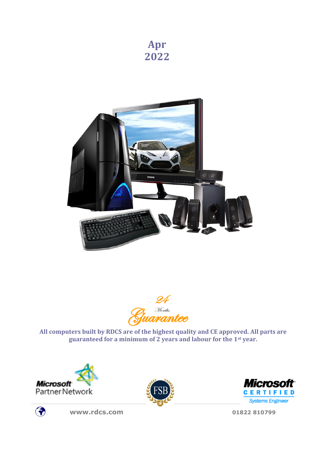





**All computers built by RDCS are of the highest quality and CE approved. All parts are guaranteed for a minimum of 2 years and labour for the 1st year.**











**[www.rdcs.com](http://www.rdcs.com/) 01822 810799**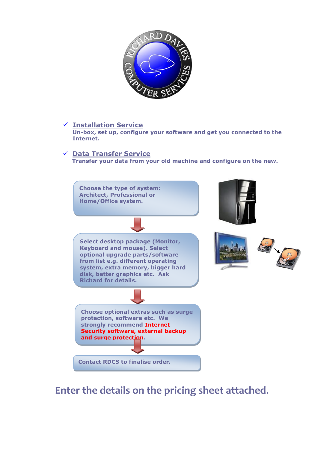

### ✓ **Installation Service**

**Un-box, set up, configure your software and get you connected to the Internet.**

### ✓ **Data Transfer Service**

**Transfer your data from your old machine and configure on the new.**



# **Enter the details on the pricing sheet attached.**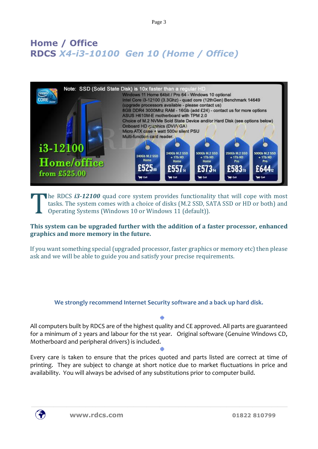Page 3

# **Home / Office RDCS** *X4-i3-10100 Gen 10 (Home / Office)*



### **he RDCS i3-12100** quad core system provides functionality that will cope with most tasks. The system comes with a choice of disks (M.2 SSD, SATA SSD or HD or both) and Operating Systems (Windows 10 or Windows 11 (default)). T

## **This system can be upgraded further with the addition of a faster processor, enhanced graphics and more memory in the future.**

If you want something special (upgraded processor, faster graphics or memory etc) then please ask and we will be able to guide you and satisfy your precise requirements.

**We strongly recommend Internet Security software and a back up hard disk.**

 $\ddot{\Phi}$ 

All computers built by RDCS are of the highest quality and CE approved. All parts are guaranteed for a minimum of 2 years and labour for the 1st year. Original software (Genuine Windows CD, Motherboard and peripheral drivers) is included.

Every care is taken to ensure that the prices quoted and parts listed are correct at time of printing. They are subject to change at short notice due to market fluctuations in price and availability. You will always be advised of any substitutions prior to computer build.

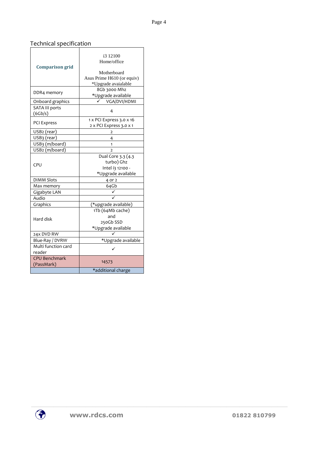# Technical specification

| <b>Comparison grid</b><br>DDR4 memory     | i3 12100<br>Home/office<br>Motherboard<br>Asus Prime H610 (or equiv)<br>*Upgrade avaialable<br>8Gb 3000 Mhz |  |
|-------------------------------------------|-------------------------------------------------------------------------------------------------------------|--|
|                                           | *Upgrade available                                                                                          |  |
| Onboard graphics<br><b>SATA III ports</b> | VGA/DVI/HDMI                                                                                                |  |
| (6Gb/s)                                   | 4                                                                                                           |  |
| <b>PCI Express</b>                        | 1 x PCI Express 3.0 x 16<br>2 x PCI Express 3.0 x 1                                                         |  |
| USB <sub>2</sub> (rear)                   | $\overline{2}$                                                                                              |  |
| USB <sub>3</sub> (rear)                   | 4                                                                                                           |  |
| USB <sub>3</sub> (m/board)                | 1                                                                                                           |  |
| USB2 (m/board)                            | $\overline{\phantom{a}}$                                                                                    |  |
| CPU                                       | Dual Core 3.3 (4.3<br>turbo) Ghz<br>Intel i3 12100 -<br>*Upgrade available                                  |  |
| <b>DIMM Slots</b>                         | 4 or 2                                                                                                      |  |
| Max memory                                | 64Gb                                                                                                        |  |
| Gigabyte LAN                              |                                                                                                             |  |
| Audio                                     |                                                                                                             |  |
| Graphics                                  | (*upgrade available)                                                                                        |  |
| Hard disk                                 | 1Tb (64Mb cache)<br>and<br>250Gb SSD<br>*Upgrade available                                                  |  |
| 24x DVD RW                                |                                                                                                             |  |
| Blue-Ray / DVRW                           | *Upgrade available                                                                                          |  |
| Multi function card<br>reader             |                                                                                                             |  |
| <b>CPU Benchmark</b><br>(PassMark)        | 14573                                                                                                       |  |
|                                           | *additional charge                                                                                          |  |

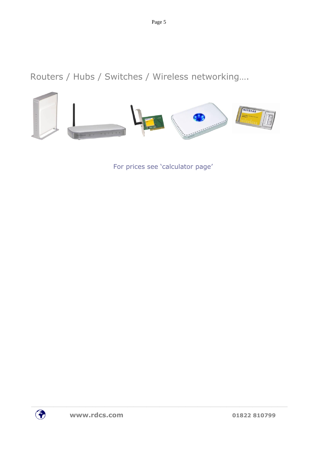Routers / Hubs / Switches / Wireless networking….



For prices see 'calculator page'

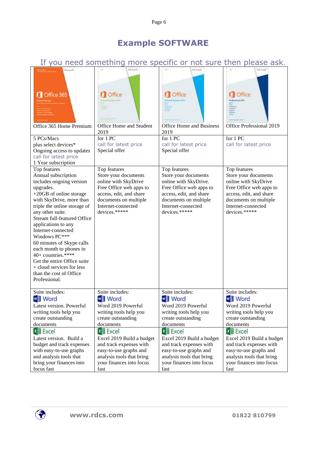# **Example SOFTWARE**

# If you need something more specific or not sure then please ask.

| Microsoft<br>Office 365<br>Office 365 Home Premium<br>5 PCs/Macs<br>plus select devices*<br>Ongoing access to updates<br>call for latest price                                                                                                                                                                                                                                                                                                                                                    | Mizosoft<br>Office<br>Office Home and Student<br>2019<br>for 1 PC<br>call for latest price<br>Special offer                                                                        | Nicrosoft<br>Office<br><b>Office Home and Business</b><br>2019<br>for 1 PC<br>call for latest price<br>Special offer                                                                | Mirrosoft<br>Office<br>Predonaloguai 2021<br>Office Professional 2019<br>for 1 PC<br>call for latest price                                                                         |
|---------------------------------------------------------------------------------------------------------------------------------------------------------------------------------------------------------------------------------------------------------------------------------------------------------------------------------------------------------------------------------------------------------------------------------------------------------------------------------------------------|------------------------------------------------------------------------------------------------------------------------------------------------------------------------------------|-------------------------------------------------------------------------------------------------------------------------------------------------------------------------------------|------------------------------------------------------------------------------------------------------------------------------------------------------------------------------------|
| 1 Year subscription<br>Top features<br>Annual subscription<br>includes ongoing version<br>upgrades.<br>+20GB of online storage<br>with SkyDrive, more than<br>triple the online storage of<br>any other suite.<br>Stream full-featured Office<br>applications to any<br>Internet-connected<br>Windows PC***<br>60 minutes of Skype calls<br>each month to phones in<br>40+ countries.****<br>Get the entire Office suite<br>+ cloud services for less<br>than the cost of Office<br>Professional. | Top features<br>Store your documents<br>online with SkyDrive<br>Free Office web apps to<br>access, edit, and share<br>documents on multiple<br>Internet-connected<br>devices.***** | Top features<br>Store your documents<br>online with SkyDrive.<br>Free Office web apps to<br>access, edit, and share<br>documents on multiple<br>Internet-connected<br>devices.***** | Top features<br>Store your documents<br>online with SkyDrive<br>Free Office web apps to<br>access, edit, and share<br>documents on multiple<br>Internet-connected<br>devices.***** |
| Suite includes:                                                                                                                                                                                                                                                                                                                                                                                                                                                                                   | Suite includes:                                                                                                                                                                    | Suite includes:                                                                                                                                                                     | Suite includes:                                                                                                                                                                    |
| <b>₩≣ Word</b>                                                                                                                                                                                                                                                                                                                                                                                                                                                                                    | <b>w</b> 目 Word                                                                                                                                                                    | <b>₩目</b> Word                                                                                                                                                                      | <b>■</b> Word                                                                                                                                                                      |
| Latest version. Powerful                                                                                                                                                                                                                                                                                                                                                                                                                                                                          | Word 2019 Powerful                                                                                                                                                                 | Word 2019 Powerful                                                                                                                                                                  | Word 2019 Powerful                                                                                                                                                                 |
| writing tools help you                                                                                                                                                                                                                                                                                                                                                                                                                                                                            | writing tools help you                                                                                                                                                             | writing tools help you                                                                                                                                                              | writing tools help you                                                                                                                                                             |
| create outstanding                                                                                                                                                                                                                                                                                                                                                                                                                                                                                | create outstanding                                                                                                                                                                 | create outstanding                                                                                                                                                                  | create outstanding                                                                                                                                                                 |
| documents                                                                                                                                                                                                                                                                                                                                                                                                                                                                                         | documents                                                                                                                                                                          | documents                                                                                                                                                                           | documents                                                                                                                                                                          |
| <b>×目</b> Excel                                                                                                                                                                                                                                                                                                                                                                                                                                                                                   | <b>区里 Excel</b>                                                                                                                                                                    | <b>×目 Excel</b>                                                                                                                                                                     | <b>×目</b> Excel                                                                                                                                                                    |
| Latest version. Build a                                                                                                                                                                                                                                                                                                                                                                                                                                                                           | Excel 2019 Build a budget                                                                                                                                                          | Excel 2019 Build a budget                                                                                                                                                           | Excel 2019 Build a budget                                                                                                                                                          |
| budget and track expenses                                                                                                                                                                                                                                                                                                                                                                                                                                                                         | and track expenses with                                                                                                                                                            | and track expenses with                                                                                                                                                             | and track expenses with                                                                                                                                                            |
| with easy-to-use graphs                                                                                                                                                                                                                                                                                                                                                                                                                                                                           | easy-to-use graphs and                                                                                                                                                             | easy-to-use graphs and                                                                                                                                                              | easy-to-use graphs and                                                                                                                                                             |
| and analysis tools that                                                                                                                                                                                                                                                                                                                                                                                                                                                                           | analysis tools that bring                                                                                                                                                          | analysis tools that bring                                                                                                                                                           | analysis tools that bring                                                                                                                                                          |
| bring your finances into                                                                                                                                                                                                                                                                                                                                                                                                                                                                          | your finances into focus                                                                                                                                                           | your finances into focus                                                                                                                                                            | your finances into focus                                                                                                                                                           |
| focus fast                                                                                                                                                                                                                                                                                                                                                                                                                                                                                        | fast                                                                                                                                                                               | fast                                                                                                                                                                                | fast                                                                                                                                                                               |

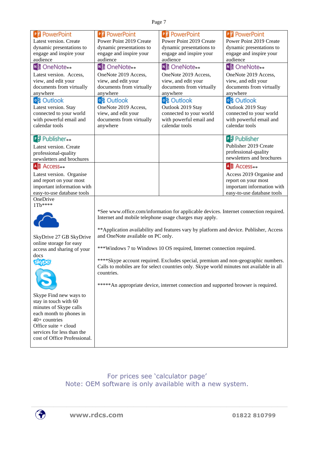| <b>P3</b> PowerPoint                      | P <sup>9</sup> PowerPoint                              | P <sub>3</sub> PowerPoint                                                                | P <sup>9</sup> PowerPoint                 |  |
|-------------------------------------------|--------------------------------------------------------|------------------------------------------------------------------------------------------|-------------------------------------------|--|
| Latest version. Create                    | Power Point 2019 Create                                | Power Point 2019 Create                                                                  | Power Point 2019 Create                   |  |
| dynamic presentations to                  | dynamic presentations to                               | dynamic presentations to                                                                 | dynamic presentations to                  |  |
| engage and inspire your                   | engage and inspire your                                | engage and inspire your                                                                  | engage and inspire your                   |  |
| audience                                  | audience                                               | audience                                                                                 | audience                                  |  |
| Mi OneNote <sub>**</sub>                  | <b>N</b> 3 OneNote <sub>**</sub>                       | Note <sub>**</sub>                                                                       | <b>N</b> 3 OneNote <sub>**</sub>          |  |
| Latest version. Access,                   | OneNote 2019 Access,                                   | OneNote 2019 Access,                                                                     | OneNote 2019 Access,                      |  |
| view, and edit your                       | view, and edit your                                    | view, and edit your                                                                      | view, and edit your                       |  |
| documents from virtually                  | documents from virtually                               | documents from virtually                                                                 | documents from virtually                  |  |
| anywhere                                  | anywhere                                               | anywhere                                                                                 | anywhere                                  |  |
| <mark>०</mark> है Outlook                 | <b>। है Outlook</b>                                    | <mark>०</mark> है Outlook                                                                | <b>।</b> 8 Outlook                        |  |
| Latest version. Stay                      | OneNote 2019 Access,                                   | Outlook 2019 Stay                                                                        | Outlook 2019 Stay                         |  |
| connected to your world                   | view, and edit your                                    | connected to your world                                                                  | connected to your world                   |  |
| with powerful email and<br>calendar tools | documents from virtually                               | with powerful email and<br>calendar tools                                                | with powerful email and<br>calendar tools |  |
|                                           | anywhere                                               |                                                                                          |                                           |  |
| P <sup>3</sup> Publisher <sub>**</sub>    |                                                        |                                                                                          | PJ Publisher                              |  |
| Latest version. Create                    |                                                        |                                                                                          | Publisher 2019 Create                     |  |
| professional-quality                      |                                                        |                                                                                          | professional-quality                      |  |
| newsletters and brochures                 |                                                        |                                                                                          | newsletters and brochures                 |  |
| A <b>E</b> Access <sup>*</sup>            |                                                        |                                                                                          | A <b>E</b> Access <sup>*</sup>            |  |
| Latest version. Organise                  |                                                        |                                                                                          | Access 2019 Organise and                  |  |
| and report on your most                   |                                                        |                                                                                          | report on your most                       |  |
| important information with                |                                                        |                                                                                          | important information with                |  |
| easy-to-use database tools                |                                                        |                                                                                          | easy-to-use database tools                |  |
| OneDrive                                  |                                                        |                                                                                          |                                           |  |
| $1Tb***$                                  |                                                        |                                                                                          |                                           |  |
|                                           |                                                        | *See www.office.com/information for applicable devices. Internet connection required.    |                                           |  |
|                                           | Internet and mobile telephone usage charges may apply. |                                                                                          |                                           |  |
|                                           |                                                        |                                                                                          |                                           |  |
|                                           |                                                        | ** Application availability and features vary by platform and device. Publisher, Access  |                                           |  |
| SkyDrive 27 GB SkyDrive                   | and OneNote available on PC only.                      |                                                                                          |                                           |  |
| online storage for easy                   |                                                        | ***Windows 7 to Windows 10 OS required, Internet connection required.                    |                                           |  |
| access and sharing of your<br>docs        |                                                        |                                                                                          |                                           |  |
| <b>Elyper</b>                             |                                                        | ****Skype account required. Excludes special, premium and non-geographic numbers.        |                                           |  |
|                                           |                                                        | Calls to mobiles are for select countries only. Skype world minutes not available in all |                                           |  |
|                                           | countries.                                             |                                                                                          |                                           |  |
|                                           |                                                        |                                                                                          |                                           |  |
|                                           |                                                        | ***** An appropriate device, internet connection and supported browser is required.      |                                           |  |
| Skype Find new ways to                    |                                                        |                                                                                          |                                           |  |
| stay in touch with 60                     |                                                        |                                                                                          |                                           |  |
| minutes of Skype calls                    |                                                        |                                                                                          |                                           |  |
| each month to phones in                   |                                                        |                                                                                          |                                           |  |
| $40+$ countries                           |                                                        |                                                                                          |                                           |  |
| Office suite + cloud                      |                                                        |                                                                                          |                                           |  |
| services for less than the                |                                                        |                                                                                          |                                           |  |
| cost of Office Professional.              |                                                        |                                                                                          |                                           |  |
|                                           |                                                        |                                                                                          |                                           |  |

For prices see 'calculator page' Note: OEM software is only available with a new system.

 $\bigcirc$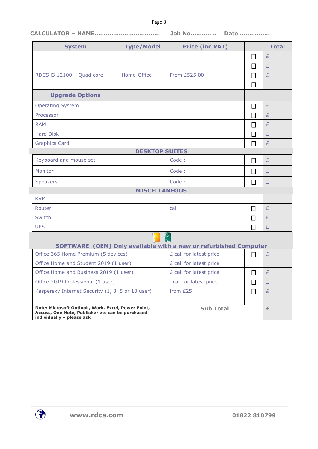#### Page 8

### **CALCULATOR – NAME…………………………….. Job No………….. Date …………….**

| <b>System</b>                                                                                                                       | <b>Type/Model</b>     | <b>Price (inc VAT)</b>                                           |              | <b>Total</b> |
|-------------------------------------------------------------------------------------------------------------------------------------|-----------------------|------------------------------------------------------------------|--------------|--------------|
|                                                                                                                                     |                       |                                                                  | $\Box$       | £            |
|                                                                                                                                     |                       |                                                                  | $\Box$       | £            |
| RDCS i3 12100 - Quad core                                                                                                           | Home-Office           | From £525.00                                                     | П            | £            |
|                                                                                                                                     |                       |                                                                  | П            |              |
| <b>Upgrade Options</b>                                                                                                              |                       |                                                                  |              |              |
| <b>Operating System</b>                                                                                                             |                       |                                                                  | $\Box$       | £            |
| Processor                                                                                                                           |                       |                                                                  |              | £            |
| <b>RAM</b>                                                                                                                          |                       |                                                                  | $\mathbf{I}$ | £            |
| <b>Hard Disk</b>                                                                                                                    |                       |                                                                  | $\mathbf{I}$ | £            |
| <b>Graphics Card</b>                                                                                                                |                       |                                                                  | $\Box$       | £            |
|                                                                                                                                     | <b>DESKTOP SUITES</b> |                                                                  |              |              |
| Keyboard and mouse set                                                                                                              |                       | Code:                                                            | П            | £            |
| Monitor                                                                                                                             |                       | Code:                                                            | П            | £            |
| <b>Speakers</b>                                                                                                                     |                       | Code:                                                            | $\mathsf{L}$ | £            |
|                                                                                                                                     | <b>MISCELLANEOUS</b>  |                                                                  |              |              |
| <b>KVM</b>                                                                                                                          |                       |                                                                  |              |              |
| Router                                                                                                                              |                       | call                                                             | $\Box$       | £            |
| Switch                                                                                                                              |                       |                                                                  | $\Box$       | £            |
| <b>UPS</b>                                                                                                                          |                       |                                                                  | П            | £            |
|                                                                                                                                     |                       |                                                                  |              |              |
| Office 365 Home Premium (5 devices)                                                                                                 |                       | SOFTWARE (OEM) Only available with a new or refurbished Computer |              | £            |
|                                                                                                                                     |                       | £ call for latest price                                          | П            |              |
| Office Home and Student 2019 (1 user)<br>Office Home and Business 2019 (1 user)                                                     |                       | £ call for latest price<br>£ call for latest price               |              |              |
|                                                                                                                                     |                       |                                                                  | $\Box$       | £            |
| Office 2019 Professional (1 user)                                                                                                   |                       | <b>£call for latest price</b>                                    |              | £            |
| Kaspersky Internet Security (1, 3, 5 or 10 user)                                                                                    |                       | from £25                                                         | $\Box$       | £            |
| Note: Microsoft Outlook, Work, Excel, Power Point,<br>Access, One Note, Publisher etc can be purchased<br>individually - please ask |                       | <b>Sub Total</b>                                                 |              | £            |